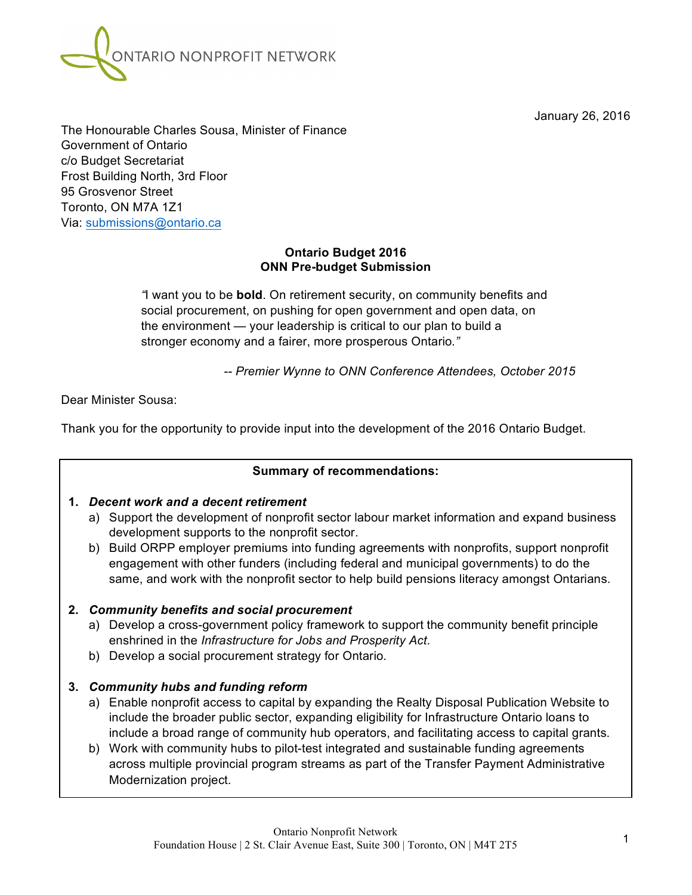January 26, 2016



The Honourable Charles Sousa, Minister of Finance Government of Ontario c/o Budget Secretariat Frost Building North, 3rd Floor 95 Grosvenor Street Toronto, ON M7A 1Z1 Via: submissions@ontario.ca

#### **Ontario Budget 2016 ONN Pre-budget Submission**

*"*I want you to be **bold**. On retirement security, on community benefits and social procurement, on pushing for open government and open data, on the environment — your leadership is critical to our plan to build a stronger economy and a fairer, more prosperous Ontario*."*

*-- Premier Wynne to ONN Conference Attendees, October 2015*

Dear Minister Sousa:

Thank you for the opportunity to provide input into the development of the 2016 Ontario Budget.

#### **Summary of recommendations:**

#### **1.** *Decent work and a decent retirement*

- a) Support the development of nonprofit sector labour market information and expand business development supports to the nonprofit sector.
- b) Build ORPP employer premiums into funding agreements with nonprofits, support nonprofit engagement with other funders (including federal and municipal governments) to do the same, and work with the nonprofit sector to help build pensions literacy amongst Ontarians.

## **2.** *Community benefits and social procurement*

- a) Develop a cross-government policy framework to support the community benefit principle enshrined in the *Infrastructure for Jobs and Prosperity Act*.
- b) Develop a social procurement strategy for Ontario.

## **3.** *Community hubs and funding reform*

- a) Enable nonprofit access to capital by expanding the Realty Disposal Publication Website to include the broader public sector, expanding eligibility for Infrastructure Ontario loans to include a broad range of community hub operators, and facilitating access to capital grants.
- b) Work with community hubs to pilot-test integrated and sustainable funding agreements across multiple provincial program streams as part of the Transfer Payment Administrative Modernization project.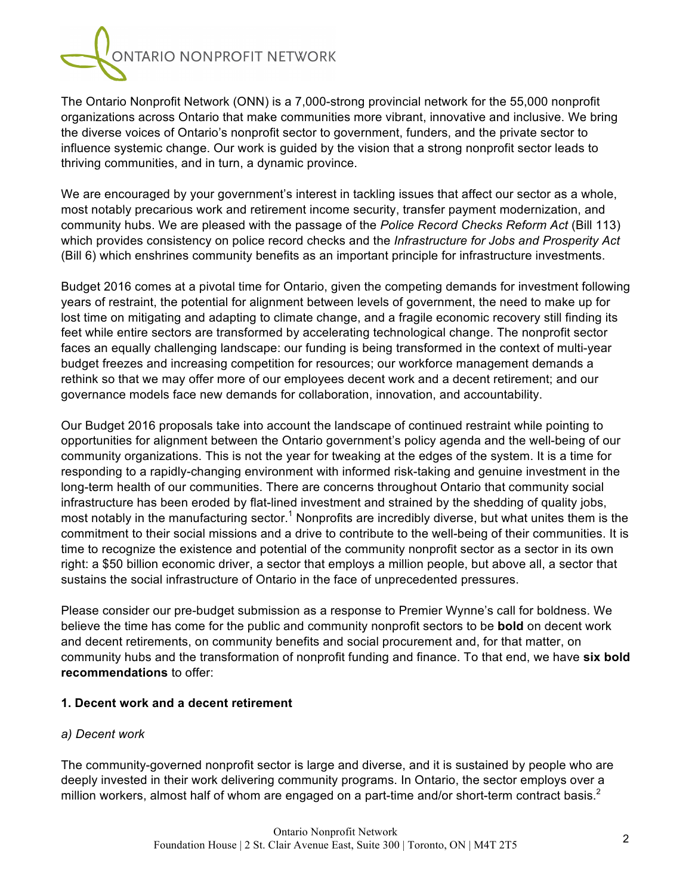

The Ontario Nonprofit Network (ONN) is a 7,000-strong provincial network for the 55,000 nonprofit organizations across Ontario that make communities more vibrant, innovative and inclusive. We bring the diverse voices of Ontario's nonprofit sector to government, funders, and the private sector to influence systemic change. Our work is guided by the vision that a strong nonprofit sector leads to thriving communities, and in turn, a dynamic province.

We are encouraged by your government's interest in tackling issues that affect our sector as a whole, most notably precarious work and retirement income security, transfer payment modernization, and community hubs. We are pleased with the passage of the *Police Record Checks Reform Act* (Bill 113) which provides consistency on police record checks and the *Infrastructure for Jobs and Prosperity Act* (Bill 6) which enshrines community benefits as an important principle for infrastructure investments.

Budget 2016 comes at a pivotal time for Ontario, given the competing demands for investment following years of restraint, the potential for alignment between levels of government, the need to make up for lost time on mitigating and adapting to climate change, and a fragile economic recovery still finding its feet while entire sectors are transformed by accelerating technological change. The nonprofit sector faces an equally challenging landscape: our funding is being transformed in the context of multi-year budget freezes and increasing competition for resources; our workforce management demands a rethink so that we may offer more of our employees decent work and a decent retirement; and our governance models face new demands for collaboration, innovation, and accountability.

Our Budget 2016 proposals take into account the landscape of continued restraint while pointing to opportunities for alignment between the Ontario government's policy agenda and the well-being of our community organizations. This is not the year for tweaking at the edges of the system. It is a time for responding to a rapidly-changing environment with informed risk-taking and genuine investment in the long-term health of our communities. There are concerns throughout Ontario that community social infrastructure has been eroded by flat-lined investment and strained by the shedding of quality jobs, most notably in the manufacturing sector.<sup>1</sup> Nonprofits are incredibly diverse, but what unites them is the commitment to their social missions and a drive to contribute to the well-being of their communities. It is time to recognize the existence and potential of the community nonprofit sector as a sector in its own right: a \$50 billion economic driver, a sector that employs a million people, but above all, a sector that sustains the social infrastructure of Ontario in the face of unprecedented pressures.

Please consider our pre-budget submission as a response to Premier Wynne's call for boldness. We believe the time has come for the public and community nonprofit sectors to be **bold** on decent work and decent retirements, on community benefits and social procurement and, for that matter, on community hubs and the transformation of nonprofit funding and finance. To that end, we have **six bold recommendations** to offer:

#### **1. Decent work and a decent retirement**

#### *a) Decent work*

The community-governed nonprofit sector is large and diverse, and it is sustained by people who are deeply invested in their work delivering community programs. In Ontario, the sector employs over a million workers, almost half of whom are engaged on a part-time and/or short-term contract basis. $2$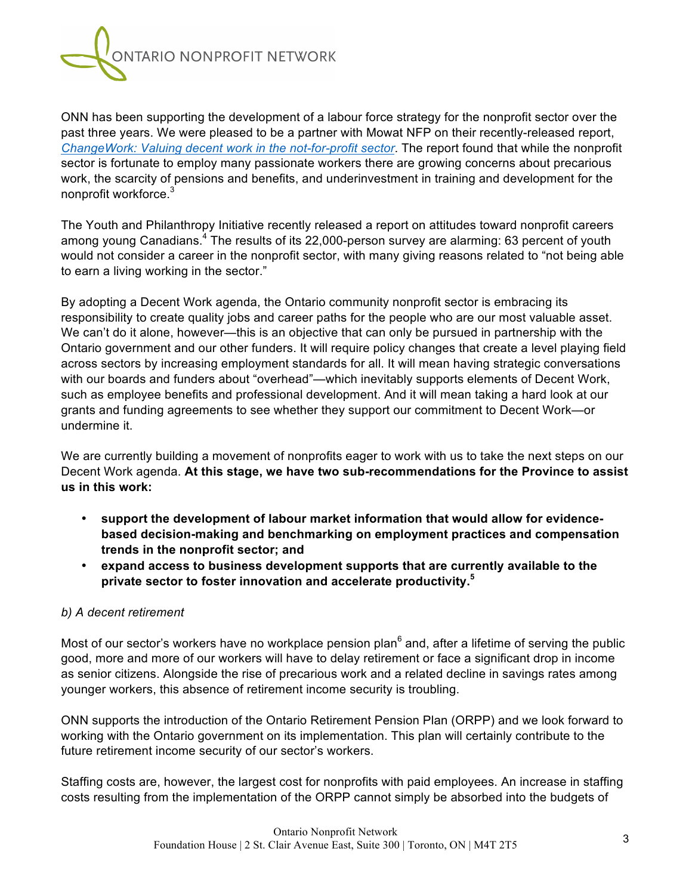

ONN has been supporting the development of a labour force strategy for the nonprofit sector over the past three years. We were pleased to be a partner with Mowat NFP on their recently-released report, *ChangeWork: Valuing decent work in the not-for-profit sector*. The report found that while the nonprofit sector is fortunate to employ many passionate workers there are growing concerns about precarious work, the scarcity of pensions and benefits, and underinvestment in training and development for the nonprofit workforce.3

The Youth and Philanthropy Initiative recently released a report on attitudes toward nonprofit careers among young Canadians.<sup>4</sup> The results of its 22,000-person survey are alarming: 63 percent of youth would not consider a career in the nonprofit sector, with many giving reasons related to "not being able to earn a living working in the sector."

By adopting a Decent Work agenda, the Ontario community nonprofit sector is embracing its responsibility to create quality jobs and career paths for the people who are our most valuable asset. We can't do it alone, however—this is an objective that can only be pursued in partnership with the Ontario government and our other funders. It will require policy changes that create a level playing field across sectors by increasing employment standards for all. It will mean having strategic conversations with our boards and funders about "overhead"—which inevitably supports elements of Decent Work, such as employee benefits and professional development. And it will mean taking a hard look at our grants and funding agreements to see whether they support our commitment to Decent Work—or undermine it.

We are currently building a movement of nonprofits eager to work with us to take the next steps on our Decent Work agenda. **At this stage, we have two sub-recommendations for the Province to assist us in this work:** 

- **support the development of labour market information that would allow for evidencebased decision-making and benchmarking on employment practices and compensation trends in the nonprofit sector; and**
- **expand access to business development supports that are currently available to the private sector to foster innovation and accelerate productivity. 5**

#### *b) A decent retirement*

Most of our sector's workers have no workplace pension plan $^6$  and, after a lifetime of serving the public good, more and more of our workers will have to delay retirement or face a significant drop in income as senior citizens. Alongside the rise of precarious work and a related decline in savings rates among younger workers, this absence of retirement income security is troubling.

ONN supports the introduction of the Ontario Retirement Pension Plan (ORPP) and we look forward to working with the Ontario government on its implementation. This plan will certainly contribute to the future retirement income security of our sector's workers.

Staffing costs are, however, the largest cost for nonprofits with paid employees. An increase in staffing costs resulting from the implementation of the ORPP cannot simply be absorbed into the budgets of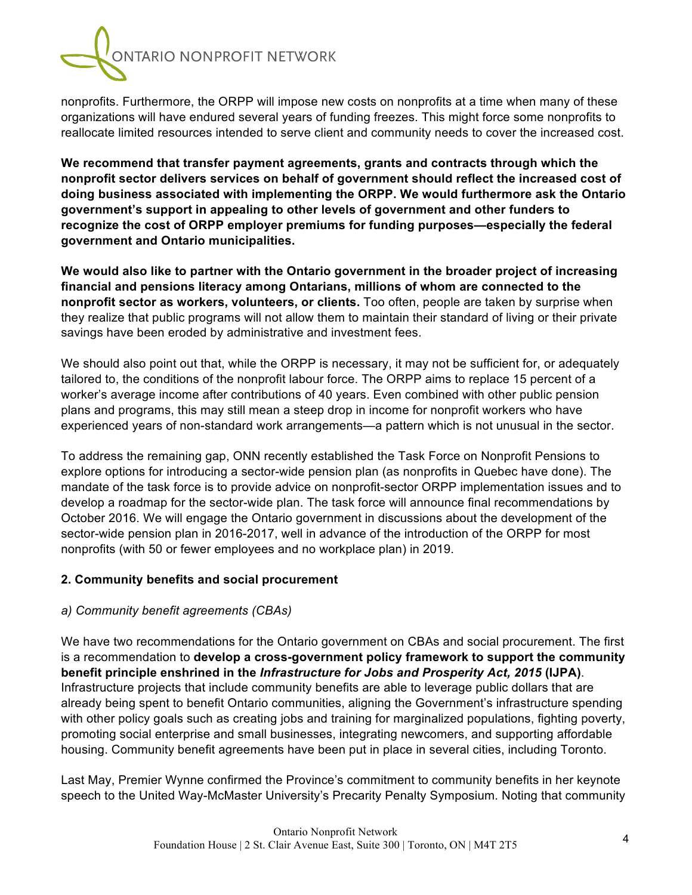

nonprofits. Furthermore, the ORPP will impose new costs on nonprofits at a time when many of these organizations will have endured several years of funding freezes. This might force some nonprofits to reallocate limited resources intended to serve client and community needs to cover the increased cost.

**We recommend that transfer payment agreements, grants and contracts through which the nonprofit sector delivers services on behalf of government should reflect the increased cost of doing business associated with implementing the ORPP. We would furthermore ask the Ontario government's support in appealing to other levels of government and other funders to recognize the cost of ORPP employer premiums for funding purposes—especially the federal government and Ontario municipalities.**

**We would also like to partner with the Ontario government in the broader project of increasing financial and pensions literacy among Ontarians, millions of whom are connected to the nonprofit sector as workers, volunteers, or clients.** Too often, people are taken by surprise when they realize that public programs will not allow them to maintain their standard of living or their private savings have been eroded by administrative and investment fees.

We should also point out that, while the ORPP is necessary, it may not be sufficient for, or adequately tailored to, the conditions of the nonprofit labour force. The ORPP aims to replace 15 percent of a worker's average income after contributions of 40 years. Even combined with other public pension plans and programs, this may still mean a steep drop in income for nonprofit workers who have experienced years of non-standard work arrangements—a pattern which is not unusual in the sector.

To address the remaining gap, ONN recently established the Task Force on Nonprofit Pensions to explore options for introducing a sector-wide pension plan (as nonprofits in Quebec have done). The mandate of the task force is to provide advice on nonprofit-sector ORPP implementation issues and to develop a roadmap for the sector-wide plan. The task force will announce final recommendations by October 2016. We will engage the Ontario government in discussions about the development of the sector-wide pension plan in 2016-2017, well in advance of the introduction of the ORPP for most nonprofits (with 50 or fewer employees and no workplace plan) in 2019.

#### **2. Community benefits and social procurement**

#### *a) Community benefit agreements (CBAs)*

We have two recommendations for the Ontario government on CBAs and social procurement. The first is a recommendation to **develop a cross-government policy framework to support the community benefit principle enshrined in the** *Infrastructure for Jobs and Prosperity Act, 2015* **(IJPA)**. Infrastructure projects that include community benefits are able to leverage public dollars that are already being spent to benefit Ontario communities, aligning the Government's infrastructure spending with other policy goals such as creating jobs and training for marginalized populations, fighting poverty, promoting social enterprise and small businesses, integrating newcomers, and supporting affordable housing. Community benefit agreements have been put in place in several cities, including Toronto.

Last May, Premier Wynne confirmed the Province's commitment to community benefits in her keynote speech to the United Way-McMaster University's Precarity Penalty Symposium. Noting that community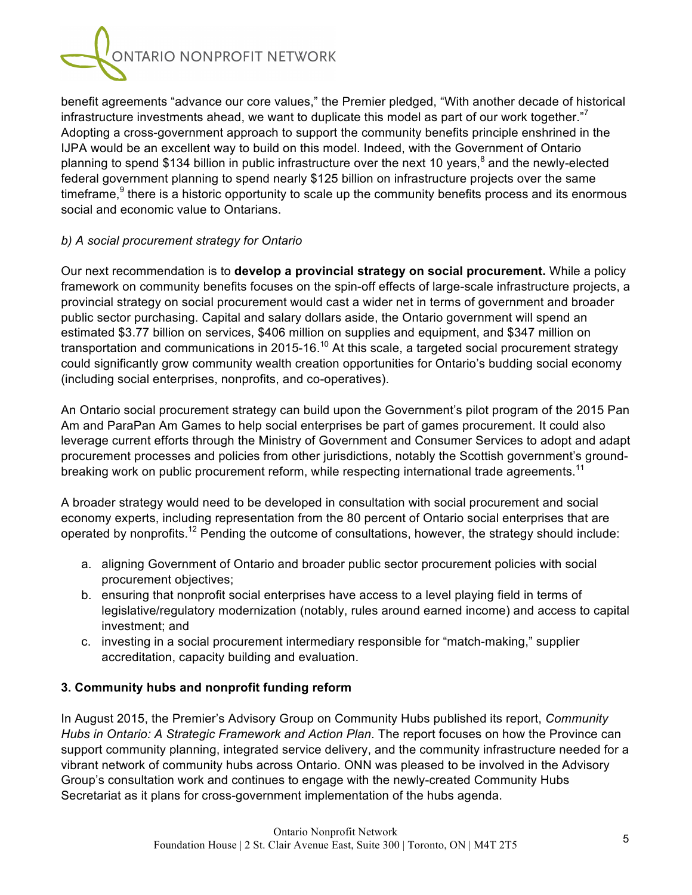

benefit agreements "advance our core values," the Premier pledged, "With another decade of historical infrastructure investments ahead, we want to duplicate this model as part of our work together. $\mathbb{Z}^7$ Adopting a cross-government approach to support the community benefits principle enshrined in the IJPA would be an excellent way to build on this model. Indeed, with the Government of Ontario planning to spend \$134 billion in public infrastructure over the next 10 years,<sup>8</sup> and the newly-elected federal government planning to spend nearly \$125 billion on infrastructure projects over the same timeframe. $9$  there is a historic opportunity to scale up the community benefits process and its enormous social and economic value to Ontarians.

### *b) A social procurement strategy for Ontario*

Our next recommendation is to **develop a provincial strategy on social procurement.** While a policy framework on community benefits focuses on the spin-off effects of large-scale infrastructure projects, a provincial strategy on social procurement would cast a wider net in terms of government and broader public sector purchasing. Capital and salary dollars aside, the Ontario government will spend an estimated \$3.77 billion on services, \$406 million on supplies and equipment, and \$347 million on transportation and communications in 2015-16.<sup>10</sup> At this scale, a targeted social procurement strategy could significantly grow community wealth creation opportunities for Ontario's budding social economy (including social enterprises, nonprofits, and co-operatives).

An Ontario social procurement strategy can build upon the Government's pilot program of the 2015 Pan Am and ParaPan Am Games to help social enterprises be part of games procurement. It could also leverage current efforts through the Ministry of Government and Consumer Services to adopt and adapt procurement processes and policies from other jurisdictions, notably the Scottish government's groundbreaking work on public procurement reform, while respecting international trade agreements.<sup>11</sup>

A broader strategy would need to be developed in consultation with social procurement and social economy experts, including representation from the 80 percent of Ontario social enterprises that are operated by nonprofits.<sup>12</sup> Pending the outcome of consultations, however, the strategy should include:

- a. aligning Government of Ontario and broader public sector procurement policies with social procurement objectives;
- b. ensuring that nonprofit social enterprises have access to a level playing field in terms of legislative/regulatory modernization (notably, rules around earned income) and access to capital investment; and
- c. investing in a social procurement intermediary responsible for "match-making," supplier accreditation, capacity building and evaluation.

## **3. Community hubs and nonprofit funding reform**

In August 2015, the Premier's Advisory Group on Community Hubs published its report, *Community Hubs in Ontario: A Strategic Framework and Action Plan*. The report focuses on how the Province can support community planning, integrated service delivery, and the community infrastructure needed for a vibrant network of community hubs across Ontario. ONN was pleased to be involved in the Advisory Group's consultation work and continues to engage with the newly-created Community Hubs Secretariat as it plans for cross-government implementation of the hubs agenda.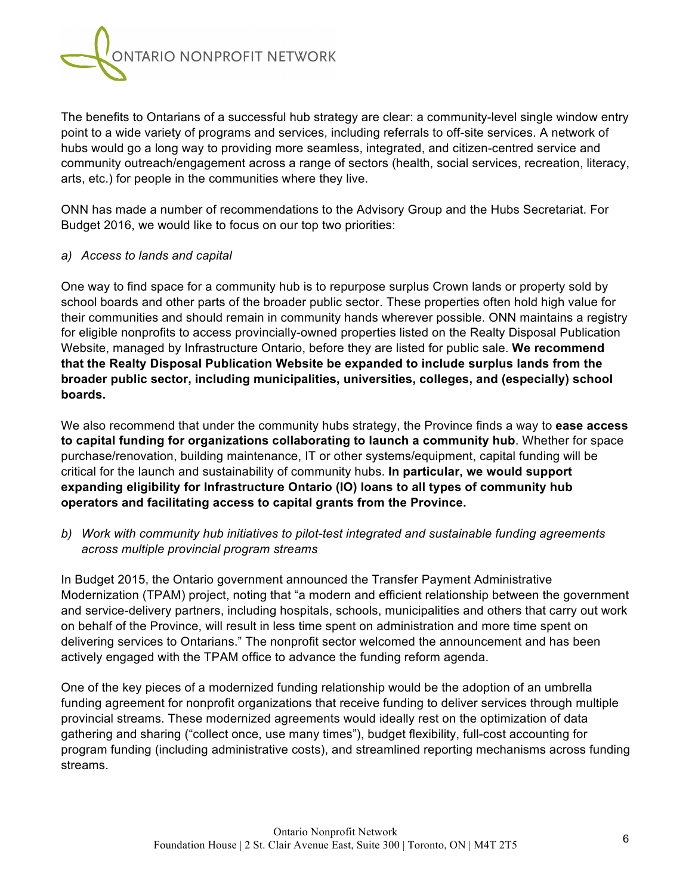

The benefits to Ontarians of a successful hub strategy are clear: a community-level single window entry point to a wide variety of programs and services, including referrals to off-site services. A network of hubs would go a long way to providing more seamless, integrated, and citizen-centred service and community outreach/engagement across a range of sectors (health, social services, recreation, literacy, arts, etc.) for people in the communities where they live.

ONN has made a number of recommendations to the Advisory Group and the Hubs Secretariat. For Budget 2016, we would like to focus on our top two priorities:

#### *a) Access to lands and capital*

One way to find space for a community hub is to repurpose surplus Crown lands or property sold by school boards and other parts of the broader public sector. These properties often hold high value for their communities and should remain in community hands wherever possible. ONN maintains a registry for eligible nonprofits to access provincially-owned properties listed on the Realty Disposal Publication Website, managed by Infrastructure Ontario, before they are listed for public sale. **We recommend that the Realty Disposal Publication Website be expanded to include surplus lands from the broader public sector, including municipalities, universities, colleges, and (especially) school boards.**

We also recommend that under the community hubs strategy, the Province finds a way to **ease access to capital funding for organizations collaborating to launch a community hub**. Whether for space purchase/renovation, building maintenance, IT or other systems/equipment, capital funding will be critical for the launch and sustainability of community hubs. **In particular, we would support expanding eligibility for Infrastructure Ontario (IO) loans to all types of community hub operators and facilitating access to capital grants from the Province.**

*b) Work with community hub initiatives to pilot-test integrated and sustainable funding agreements across multiple provincial program streams*

In Budget 2015, the Ontario government announced the Transfer Payment Administrative Modernization (TPAM) project, noting that "a modern and efficient relationship between the government and service-delivery partners, including hospitals, schools, municipalities and others that carry out work on behalf of the Province, will result in less time spent on administration and more time spent on delivering services to Ontarians." The nonprofit sector welcomed the announcement and has been actively engaged with the TPAM office to advance the funding reform agenda.

One of the key pieces of a modernized funding relationship would be the adoption of an umbrella funding agreement for nonprofit organizations that receive funding to deliver services through multiple provincial streams. These modernized agreements would ideally rest on the optimization of data gathering and sharing ("collect once, use many times"), budget flexibility, full-cost accounting for program funding (including administrative costs), and streamlined reporting mechanisms across funding streams.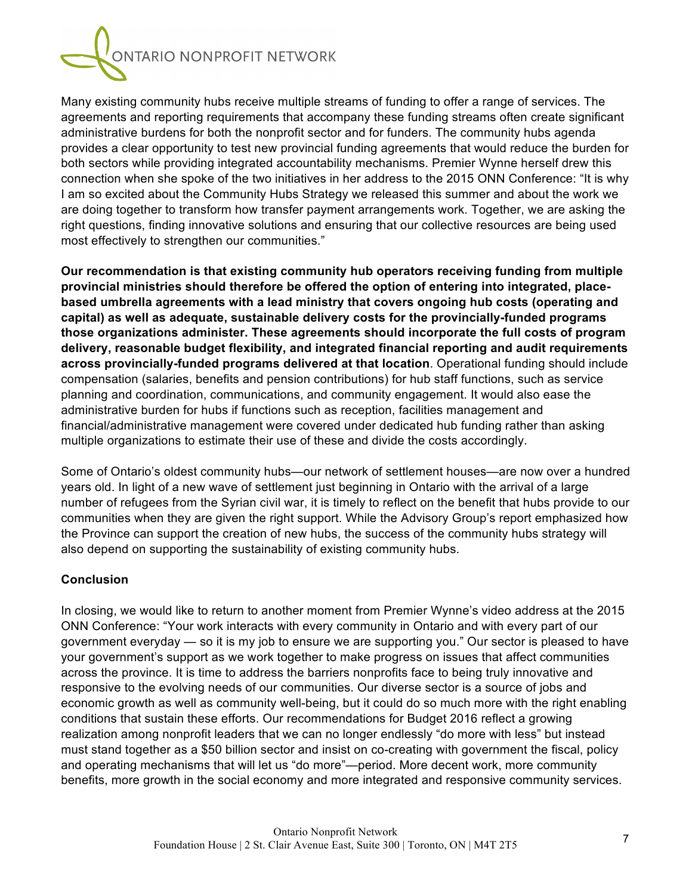

Many existing community hubs receive multiple streams of funding to offer a range of services. The agreements and reporting requirements that accompany these funding streams often create significant administrative burdens for both the nonprofit sector and for funders. The community hubs agenda provides a clear opportunity to test new provincial funding agreements that would reduce the burden for both sectors while providing integrated accountability mechanisms. Premier Wynne herself drew this connection when she spoke of the two initiatives in her address to the 2015 ONN Conference: "It is why I am so excited about the Community Hubs Strategy we released this summer and about the work we are doing together to transform how transfer payment arrangements work. Together, we are asking the right questions, finding innovative solutions and ensuring that our collective resources are being used most effectively to strengthen our communities."

**Our recommendation is that existing community hub operators receiving funding from multiple provincial ministries should therefore be offered the option of entering into integrated, placebased umbrella agreements with a lead ministry that covers ongoing hub costs (operating and capital) as well as adequate, sustainable delivery costs for the provincially-funded programs those organizations administer. These agreements should incorporate the full costs of program delivery, reasonable budget flexibility, and integrated financial reporting and audit requirements across provincially-funded programs delivered at that location**. Operational funding should include compensation (salaries, benefits and pension contributions) for hub staff functions, such as service planning and coordination, communications, and community engagement. It would also ease the administrative burden for hubs if functions such as reception, facilities management and financial/administrative management were covered under dedicated hub funding rather than asking multiple organizations to estimate their use of these and divide the costs accordingly.

Some of Ontario's oldest community hubs—our network of settlement houses—are now over a hundred years old. In light of a new wave of settlement just beginning in Ontario with the arrival of a large number of refugees from the Syrian civil war, it is timely to reflect on the benefit that hubs provide to our communities when they are given the right support. While the Advisory Group's report emphasized how the Province can support the creation of new hubs, the success of the community hubs strategy will also depend on supporting the sustainability of existing community hubs.

#### **Conclusion**

In closing, we would like to return to another moment from Premier Wynne's video address at the 2015 ONN Conference: "Your work interacts with every community in Ontario and with every part of our government everyday — so it is my job to ensure we are supporting you." Our sector is pleased to have your government's support as we work together to make progress on issues that affect communities across the province. It is time to address the barriers nonprofits face to being truly innovative and responsive to the evolving needs of our communities. Our diverse sector is a source of jobs and economic growth as well as community well-being, but it could do so much more with the right enabling conditions that sustain these efforts. Our recommendations for Budget 2016 reflect a growing realization among nonprofit leaders that we can no longer endlessly "do more with less" but instead must stand together as a \$50 billion sector and insist on co-creating with government the fiscal, policy and operating mechanisms that will let us "do more"—period. More decent work, more community benefits, more growth in the social economy and more integrated and responsive community services.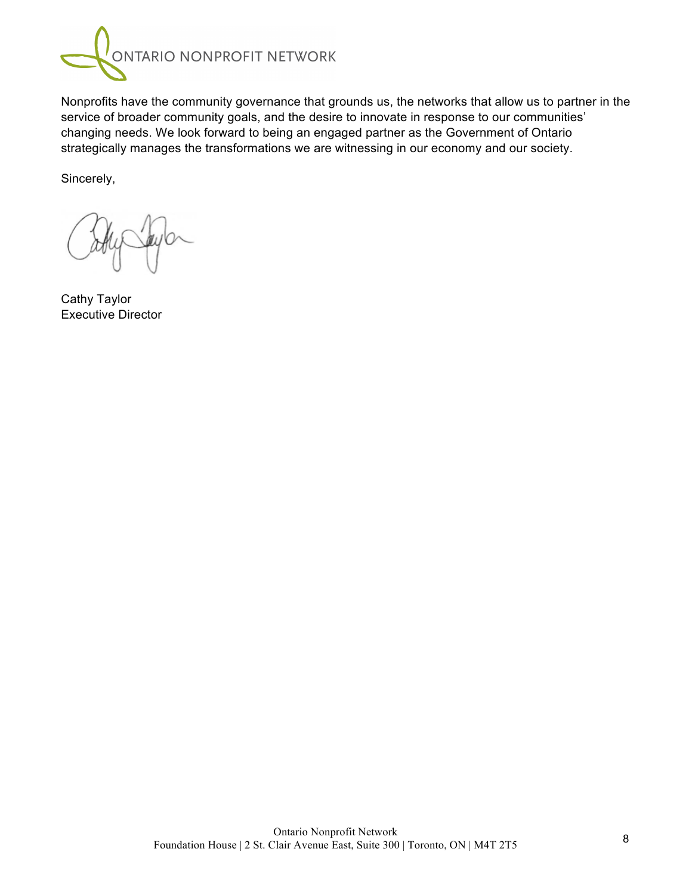

Nonprofits have the community governance that grounds us, the networks that allow us to partner in the service of broader community goals, and the desire to innovate in response to our communities' changing needs. We look forward to being an engaged partner as the Government of Ontario strategically manages the transformations we are witnessing in our economy and our society.

Sincerely,

Cathy Taylor Executive Director